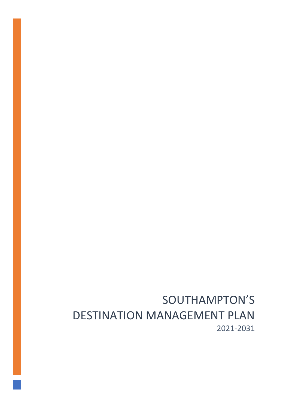# SOUTHAMPTON'S DESTINATION MANAGEMENT PLAN 2021-2031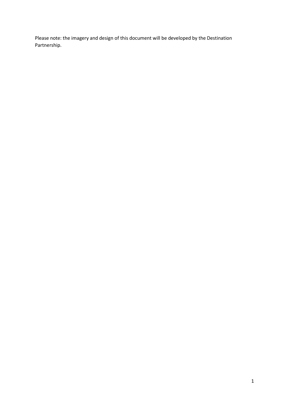Please note: the imagery and design of this document will be developed by the Destination Partnership.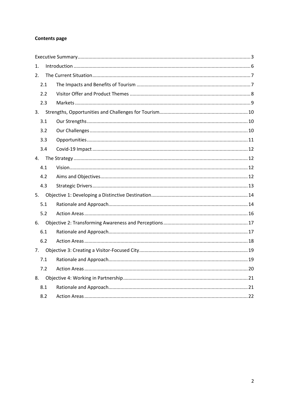### **Contents page**

| 1.  |  |
|-----|--|
| 2.  |  |
| 2.1 |  |
| 2.2 |  |
| 2.3 |  |
| 3.  |  |
| 3.1 |  |
| 3.2 |  |
| 3.3 |  |
| 3.4 |  |
| 4.  |  |
| 4.1 |  |
| 4.2 |  |
| 4.3 |  |
| 5.  |  |
| 5.1 |  |
| 5.2 |  |
| 6.  |  |
| 6.1 |  |
| 6.2 |  |
| 7.  |  |
| 7.1 |  |
| 7.2 |  |
| 8.  |  |
| 8.1 |  |
| 8.2 |  |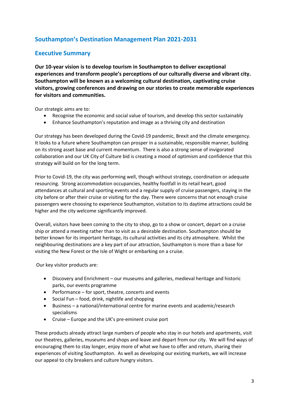# **Southampton's Destination Management Plan 2021-2031**

### <span id="page-3-0"></span>**Executive Summary**

**Our 10-year vision is to develop tourism in Southampton to deliver exceptional experiences and transform people's perceptions of our culturally diverse and vibrant city. Southampton will be known as a welcoming cultural destination, captivating cruise visitors, growing conferences and drawing on our stories to create memorable experiences for visitors and communities.**

Our strategic aims are to:

- Recognise the economic and social value of tourism, and develop this sector sustainably
- Enhance Southampton's reputation and image as a thriving city and destination

Our strategy has been developed during the Covid-19 pandemic, Brexit and the climate emergency. It looks to a future where Southampton can prosper in a sustainable, responsible manner, building on its strong asset base and current momentum. There is also a strong sense of invigorated collaboration and our UK City of Culture bid is creating a mood of optimism and confidence that this strategy will build on for the long term.

Prior to Covid-19, the city was performing well, though without strategy, coordination or adequate resourcing. Strong accommodation occupancies, healthy footfall in its retail heart, good attendances at cultural and sporting events and a regular supply of cruise passengers, staying in the city before or after their cruise or visiting for the day. There were concerns that not enough cruise passengers were choosing to experience Southampton, visitation to its daytime attractions could be higher and the city welcome significantly improved.

Overall, visitors have been coming to the city to shop, go to a show or concert, depart on a cruise ship or attend a meeting rather than to visit as a desirable destination. Southampton should be better known for its important heritage, its cultural activities and its city atmosphere. Whilst the neighbouring destinations are a key part of our attraction, Southampton is more than a base for visiting the New Forest or the Isle of Wight or embarking on a cruise.

Our key visitor products are:

- Discovery and Enrichment our museums and galleries, medieval heritage and historic parks, our events programme
- Performance for sport, theatre, concerts and events
- Social Fun food, drink, nightlife and shopping
- Business a national/international centre for marine events and academic/research specialisms
- Cruise Europe and the UK's pre-eminent cruise port

These products already attract large numbers of people who stay in our hotels and apartments, visit our theatres, galleries, museums and shops and leave and depart from our city. We will find ways of encouraging them to stay longer, enjoy more of what we have to offer and return, sharing their experiences of visiting Southampton. As well as developing our existing markets, we will increase our appeal to city breakers and culture hungry visitors.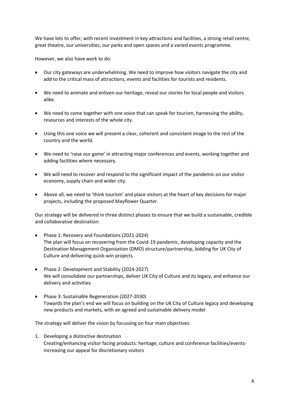We have lots to offer, with recent investment in key attractions and facilities, a strong retail centre, great theatre, our universities, our parks and open spaces and a varied events programme.

However, we also have work to do:

- Our city gateways are underwhelming. We need to improve how visitors navigate the city and add to the critical mass of attractions, events and facilities for tourists and residents.
- We need to animate and enliven our heritage, reveal our stories for local people and visitors alike.
- We need to come together with one voice that can speak for tourism, harnessing the ability, resources and interests of the whole city.
- Using this one voice we will present a clear, coherent and consistent image to the rest of the country and the world.
- We need to 'raise our game' in attracting major conferences and events, working together and adding facilities where necessary.
- We will need to recover and respond to the significant impact of the pandemic on our visitor economy, supply chain and wider city.
- Above all, we need to 'think tourism' and place visitors at the heart of key decisions for major projects, including the proposed Mayflower Quarter.

Our strategy will be delivered in three distinct phases to ensure that we build a sustainable, credible and collaborative destination:

- Phase 1: Recovery and Foundations (2021-2024) The plan will focus on recovering from the Covid-19 pandemic, developing capacity and the Destination Management Organisation (DMO) structure/partnership, bidding for UK City of Culture and delivering quick-win projects
- Phase 2: Development and Stability (2024-2027) We will consolidate our partnerships, deliver UK City of Culture and its legacy, and enhance our delivery and activities
- Phase 3: Sustainable Regeneration (2027-2030) Towards the plan's end we will focus on building on the UK City of Culture legacy and developing new products and markets, with an agreed and sustainable delivery model

The strategy will deliver the vision by focussing on four main objectives:

1. Developing a distinctive destination Creating/enhancing visitor facing products: heritage, culture and conference facilities/eventsincreasing our appeal for discretionary visitors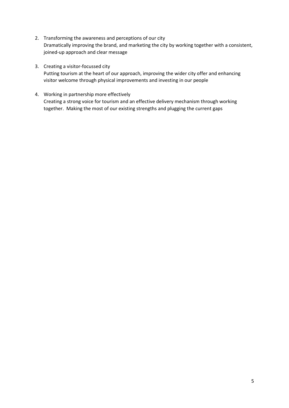- 2. Transforming the awareness and perceptions of our city Dramatically improving the brand, and marketing the city by working together with a consistent, joined-up approach and clear message
- 3. Creating a visitor-focussed city Putting tourism at the heart of our approach, improving the wider city offer and enhancing visitor welcome through physical improvements and investing in our people
- 4. Working in partnership more effectively Creating a strong voice for tourism and an effective delivery mechanism through working together. Making the most of our existing strengths and plugging the current gaps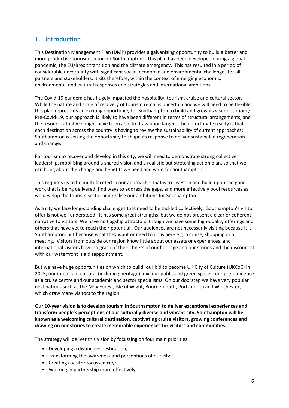### <span id="page-6-0"></span>**1. Introduction**

This Destination Management Plan (DMP) provides a galvanising opportunity to build a better and more productive tourism sector for Southampton. This plan has been developed during a global pandemic, the EU/Brexit transition and the climate emergency. This has resulted in a period of considerable uncertainty with significant social, economic and environmental challenges for all partners and stakeholders. It sits therefore, within the context of emerging economic, environmental and cultural responses and strategies and international ambitions.

The Covid-19 pandemic has hugely impacted the hospitality, tourism, cruise and cultural sector. While the nature and scale of recovery of tourism remains uncertain and we will need to be flexible, this plan represents an exciting opportunity for Southampton to build and grow its visitor economy. Pre-Covid-19, our approach is likely to have been different in terms of structural arrangements, and the resources that we might have been able to draw upon larger. The unfortunate reality is that each destination across the country is having to review the sustainability of current approaches; Southampton is seizing the opportunity to shape its response to deliver sustainable regeneration and change.

For tourism to recover and develop in this city, we will need to demonstrate strong collective leadership, mobilising around a shared vision and a realistic but stretching action plan, so that we can bring about the change and benefits we need and want for Southampton.

This requires us to be multi-faceted in our approach – that is to invest in and build upon the good work that is being delivered, find ways to address the gaps, and more effectively pool resources as we develop the tourism sector and realise our ambitions for Southampton.

As a city we face long-standing challenges that need to be tackled collectively. Southampton's visitor offer is not well understood. It has some great strengths, but we do not present a clear or coherent narrative to visitors. We have no flagship attractors, though we have some high-quality offerings and others that have yet to reach their potential. Our audiences are not necessarily visiting because it is Southampton, but because what they want or need to do is here e.g. a cruise, shopping or a meeting. Visitors from outside our region know little about our assets or experiences, and international visitors have no grasp of the richness of our heritage and our stories and the disconnect with our waterfront is a disappointment.

But we have huge opportunities on which to build: our bid to become UK City of Culture (UKCoC) in 2025; our important cultural (including heritage) mix; our public and green spaces; our pre-eminence as a cruise centre and our academic and sector specialisms. On our doorstep we have very popular destinations such as the New Forest, Isle of Wight, Bournemouth, Portsmouth and Winchester, which draw many visitors to the region.

**Our 10-year vision is to develop tourism in Southampton to deliver exceptional experiences and transform people's perceptions of our culturally diverse and vibrant city. Southampton will be known as a welcoming cultural destination, captivating cruise visitors, growing conferences and drawing on our stories to create memorable experiences for visitors and communities.**

The strategy will deliver this vision by focussing on four main priorities:

- Developing a distinctive destination;
- Transforming the awareness and perceptions of our city;
- Creating a visitor focussed city;
- Working in partnership more effectively.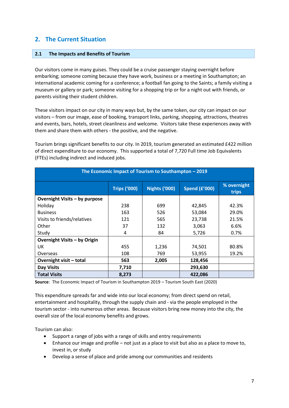### <span id="page-7-0"></span>**2. The Current Situation**

### <span id="page-7-1"></span>**2.1 The Impacts and Benefits of Tourism**

Our visitors come in many guises. They could be a cruise passenger staying overnight before embarking; someone coming because they have work, business or a meeting in Southampton; an international academic coming for a conference; a football fan going to the Saints; a family visiting a museum or gallery or park; someone visiting for a shopping trip or for a night out with friends, or parents visiting their student children.

These visitors impact on our city in many ways but, by the same token, our city can impact on our visitors – from our image, ease of booking, transport links, parking, shopping, attractions, theatres and events, bars, hotels, street cleanliness and welcome. Visitors take these experiences away with them and share them with others - the positive, and the negative.

Tourism brings significant benefits to our city. In 2019, tourism generated an estimated £422 million of direct expenditure to our economy. This supported a total of 7,720 Full time Job Equivalents (FTEs) including indirect and induced jobs.

| The Economic Impact of Tourism to Southampton - 2019 |                     |                      |                      |                      |
|------------------------------------------------------|---------------------|----------------------|----------------------|----------------------|
|                                                      | <b>Trips ('000)</b> | <b>Nights ('000)</b> | <b>Spend (£'000)</b> | % overnight<br>trips |
| Overnight Visits - by purpose                        |                     |                      |                      |                      |
| Holiday                                              | 238                 | 699                  | 42,845               | 42.3%                |
| <b>Business</b>                                      | 163                 | 526                  | 53,084               | 29.0%                |
| Visits to friends/relatives                          | 121                 | 565                  | 23,738               | 21.5%                |
| Other                                                | 37                  | 132                  | 3,063                | 6.6%                 |
| Study                                                | 4                   | 84                   | 5,726                | 0.7%                 |
| Overnight Visits - by Origin                         |                     |                      |                      |                      |
| UK                                                   | 455                 | 1,236                | 74,501               | 80.8%                |
| Overseas                                             | 108                 | 769                  | 53,955               | 19.2%                |
| Overnight visit - total                              | 563                 | 2,005                | 128,456              |                      |
| <b>Day Visits</b>                                    | 7,710               |                      | 293,630              |                      |
| <b>Total Visits</b>                                  | 8,273               |                      | 422,086              |                      |

**Source**: The Economic Impact of Tourism in Southampton 2019 – Tourism South East (2020)

This expenditure spreads far and wide into our local economy; from direct spend on retail, entertainment and hospitality, through the supply chain and - via the people employed in the tourism sector - into numerous other areas. Because visitors bring new money into the city, the overall size of the local economy benefits and grows.

Tourism can also:

- Support a range of jobs with a range of skills and entry requirements
- Enhance our image and profile not just as a place to visit but also as a place to move to, invest in, or study
- Develop a sense of place and pride among our communities and residents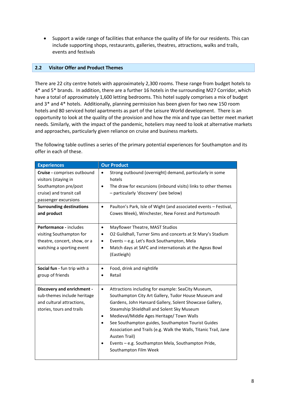• Support a wide range of facilities that enhance the quality of life for our residents. This can include supporting shops, restaurants, galleries, theatres, attractions, walks and trails, events and festivals

### <span id="page-8-0"></span>**2.2 Visitor Offer and Product Themes**

There are 22 city centre hotels with approximately 2,300 rooms. These range from budget hotels to 4\* and 5\* brands. In addition, there are a further 16 hotels in the surrounding M27 Corridor, which have a total of approximately 1,600 letting bedrooms. This hotel supply comprises a mix of budget and 3\* and 4\* hotels. Additionally, planning permission has been given for two new 150 room hotels and 80 serviced hotel apartments as part of the Leisure World development. There is an opportunity to look at the quality of the provision and how the mix and type can better meet market needs. Similarly, with the impact of the pandemic, hoteliers may need to look at alternative markets and approaches, particularly given reliance on cruise and business markets.

The following table outlines a series of the primary potential experiences for Southampton and its offer in each of these.

| <b>Experiences</b>                                                                                                              | <b>Our Product</b>                                                                                                                                                                                                                                                                                                                                                                                                                                                                                                                |
|---------------------------------------------------------------------------------------------------------------------------------|-----------------------------------------------------------------------------------------------------------------------------------------------------------------------------------------------------------------------------------------------------------------------------------------------------------------------------------------------------------------------------------------------------------------------------------------------------------------------------------------------------------------------------------|
| Cruise - comprises outbound<br>visitors (staying in<br>Southampton pre/post<br>cruise) and transit call<br>passenger excursions | Strong outbound (overnight) demand, particularly in some<br>$\bullet$<br>hotels<br>The draw for excursions (inbound visits) links to other themes<br>$\bullet$<br>- particularly 'discovery' (see below)                                                                                                                                                                                                                                                                                                                          |
| <b>Surrounding destinations</b><br>and product                                                                                  | Paulton's Park, Isle of Wight (and associated events - Festival,<br>$\bullet$<br>Cowes Week), Winchester, New Forest and Portsmouth                                                                                                                                                                                                                                                                                                                                                                                               |
| Performance - includes<br>visiting Southampton for<br>theatre, concert, show, or a<br>watching a sporting event                 | Mayflower Theatre, MAST Studios<br>$\bullet$<br>O2 Guildhall, Turner Sims and concerts at St Mary's Stadium<br>٠<br>Events - e.g. Let's Rock Southampton, Mela<br>٠<br>Match days at SAFC and internationals at the Ageas Bowl<br>$\bullet$<br>(Eastleigh)                                                                                                                                                                                                                                                                        |
| Social fun - fun trip with a<br>group of friends                                                                                | Food, drink and nightlife<br>$\bullet$<br>Retail                                                                                                                                                                                                                                                                                                                                                                                                                                                                                  |
| <b>Discovery and enrichment -</b><br>sub-themes include heritage<br>and cultural attractions,<br>stories, tours and trails      | Attractions including for example: SeaCity Museum,<br>$\bullet$<br>Southampton City Art Gallery, Tudor House Museum and<br>Gardens, John Hansard Gallery, Solent Showcase Gallery,<br>Steamship Shieldhall and Solent Sky Museum<br>Medieval/Middle Ages Heritage/ Town Walls<br>$\bullet$<br>See Southampton guides, Southampton Tourist Guides<br>$\bullet$<br>Association and Trails (e.g. Walk the Walls, Titanic Trail, Jane<br>Austen Trail)<br>Events - e.g. Southampton Mela, Southampton Pride,<br>Southampton Film Week |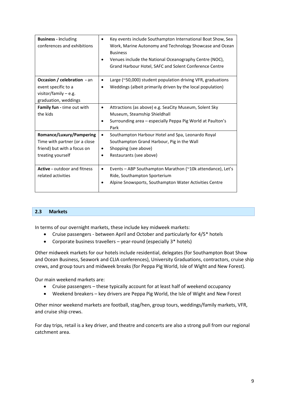| <b>Business - including</b><br>conferences and exhibitions                                                    | Key events include Southampton International Boat Show, Sea<br>Work, Marine Autonomy and Technology Showcase and Ocean<br><b>Business</b><br>Venues include the National Oceanography Centre (NOC),<br>Grand Harbour Hotel, SAFC and Solent Conference Centre |
|---------------------------------------------------------------------------------------------------------------|---------------------------------------------------------------------------------------------------------------------------------------------------------------------------------------------------------------------------------------------------------------|
| Occasion / celebration - an<br>event specific to a<br>visitor/family $-$ e.g.<br>graduation, weddings         | Large (~50,000) student population driving VFR, graduations<br>$\bullet$<br>Weddings (albeit primarily driven by the local population)                                                                                                                        |
| Family fun - time out with<br>the kids                                                                        | Attractions (as above) e.g. SeaCity Museum, Solent Sky<br>$\bullet$<br>Museum, Steamship Shieldhall<br>Surrounding area - especially Peppa Pig World at Paulton's<br>Park                                                                                     |
| Romance/Luxury/Pampering<br>Time with partner (or a close<br>friend) but with a focus on<br>treating yourself | Southampton Harbour Hotel and Spa, Leonardo Royal<br>$\bullet$<br>Southampton Grand Harbour, Pig in the Wall<br>Shopping (see above)<br>Restaurants (see above)                                                                                               |
| <b>Active - outdoor and fitness</b><br>related activities                                                     | Events - ABP Southampton Marathon (~10k attendance), Let's<br>٠<br>Ride, Southampton Sporterium<br>Alpine Snowsports, Southampton Water Activities Centre                                                                                                     |

### <span id="page-9-0"></span>**2.3 Markets**

In terms of our overnight markets, these include key midweek markets:

- Cruise passengers between April and October and particularly for 4/5\* hotels
- Corporate business travellers year-round (especially 3\* hotels)

Other midweek markets for our hotels include residential, delegates (for Southampton Boat Show and Ocean Business, Seawork and CLIA conferences), University Graduations, contractors, cruise ship crews, and group tours and midweek breaks (for Peppa Pig World, Isle of Wight and New Forest).

Our main weekend markets are:

- Cruise passengers these typically account for at least half of weekend occupancy
- Weekend breakers key drivers are Peppa Pig World, the Isle of Wight and New Forest

Other minor weekend markets are football, stag/hen, group tours, weddings/family markets, VFR, and cruise ship crews.

For day trips, retail is a key driver, and theatre and concerts are also a strong pull from our regional catchment area.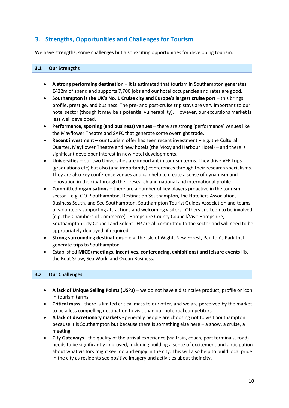# <span id="page-10-0"></span>**3. Strengths, Opportunities and Challenges for Tourism**

We have strengths, some challenges but also exciting opportunities for developing tourism.

### <span id="page-10-1"></span>**3.1 Our Strengths**

- **A strong performing destination** it is estimated that tourism in Southampton generates £422m of spend and supports 7,700 jobs and our hotel occupancies and rates are good.
- **Southampton is the UK's No. 1 Cruise city and Europe's largest cruise port** this brings profile, prestige, and business. The pre- and post-cruise trip stays are very important to our hotel sector (though it may be a potential vulnerability). However, our excursions market is less well developed.
- **Performance, sporting (and business) venues**  there are strong 'performance' venues like the Mayflower Theatre and SAFC that generate some overnight trade.
- **Recent investment** our tourism offer has seen recent investment e.g. the Cultural Quarter, Mayflower Theatre and new hotels (the Moxy and Harbour Hotel) – and there is significant developer interest in new hotel developments.
- **Universities**  our two Universities are important in tourism terms. They drive VFR trips (graduations etc) but also (and importantly) conferences through their research specialisms. They are also key conference venues and can help to create a sense of dynamism and innovation in the city through their research and national and international profile
- **Committed organisations** there are a number of key players proactive in the tourism sector – e.g. GO! Southampton, Destination Southampton, the Hoteliers Association, Business South, and See Southampton, Southampton Tourist Guides Association and teams of volunteers supporting attractions and welcoming visitors. Others are keen to be involved (e.g. the Chambers of Commerce). Hampshire County Council/Visit Hampshire, Southampton City Council and Solent LEP are all committed to the sector and will need to be appropriately deployed, if required.
- **Strong surrounding destinations** e.g. the Isle of Wight, New Forest, Paulton's Park that generate trips to Southampton.
- Established **MICE (meetings, incentives, conferencing, exhibitions) and leisure events** like the Boat Show, Sea Work, and Ocean Business.

### <span id="page-10-2"></span>**3.2 Our Challenges**

- **A lack of Unique Selling Points (USPs)** we do not have a distinctive product, profile or icon in tourism terms.
- **Critical mass**  there is limited critical mass to our offer, and we are perceived by the market to be a less compelling destination to visit than our potential competitors.
- **A lack of discretionary markets -** generally people are choosing not to visit Southampton because it is Southampton but because there is something else here – a show, a cruise, a meeting.
- **City Gateways**  the quality of the arrival experience (via train, coach, port terminals, road) needs to be significantly improved, including building a sense of excitement and anticipation about what visitors might see, do and enjoy in the city. This will also help to build local pride in the city as residents see positive imagery and activities about their city.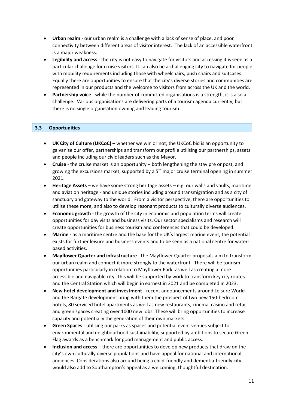- **Urban realm** our urban realm is a challenge with a lack of sense of place, and poor connectivity between different areas of visitor interest. The lack of an accessible waterfront is a major weakness.
- **Legibility and access** the city is not easy to navigate for visitors and accessing it is seen as a particular challenge for cruise visitors. It can also be a challenging city to navigate for people with mobility requirements including those with wheelchairs, push chairs and suitcases. Equally there are opportunities to ensure that the city's diverse stories and communities are represented in our products and the welcome to visitors from across the UK and the world.
- **Partnership voice** while the number of committed organisations is a strength, it is also a challenge. Various organisations are delivering parts of a tourism agenda currently, but there is no single organisation owning and leading tourism.

### <span id="page-11-0"></span>**3.3 Opportunities**

- **UK City of Culture (UKCoC)** whether we win or not, the UKCoC bid is an opportunity to galvanise our offer, partnerships and transform our profile utilising our partnerships, assets and people including our civic leaders such as the Mayor.
- **Cruise** the cruise market is an opportunity both lengthening the stay pre or post, and growing the excursions market, supported by a  $5<sup>th</sup>$  major cruise terminal opening in summer 2021.
- **Heritage Assets** we have some strong heritage assets e.g. our walls and vaults, maritime and aviation heritage - and unique stories including around transmigration and as a city of sanctuary and gateway to the world. From a visitor perspective, there are opportunities to utilise these more, and also to develop resonant products to culturally diverse audiences.
- **Economic growth** the growth of the city in economic and population terms will create opportunities for day visits and business visits. Our sector specialisms and research will create opportunities for business tourism and conferences that could be developed.
- **Marine -** as a maritime centre and the base for the UK's largest marine event, the potential exists for further leisure and business events and to be seen as a national centre for waterbased activities.
- **Mayflower Quarter and infrastructure** the Mayflower Quarter proposals aim to transform our urban realm and connect it more strongly to the waterfront. There will be tourism opportunities particularly in relation to Mayflower Park, as well as creating a more accessible and navigable city. This will be supported by work to transform key city routes and the Central Station which will begin in earnest in 2021 and be completed in 2023.
- **New hotel development and investment**  recent announcements around Leisure World and the Bargate development bring with them the prospect of two new 150-bedroom hotels, 80 serviced hotel apartments as well as new restaurants, cinema, casino and retail and green spaces creating over 1000 new jobs. These will bring opportunities to increase capacity and potentially the generation of their own markets.
- **Green Spaces**  utilising our parks as spaces and potential event venues subject to environmental and neighbourhood sustainability, supported by ambitions to secure Green Flag awards as a benchmark for good management and public access.
- **Inclusion and access**  there are opportunities to develop new products that draw on the city's own culturally diverse populations and have appeal for national and international audiences. Considerations also around being a child-friendly and dementia-friendly city would also add to Southampton's appeal as a welcoming, thoughtful destination.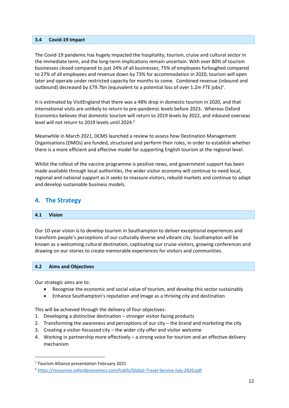#### <span id="page-12-0"></span>**3.4 Covid-19 Impact**

The Covid-19 pandemic has hugely impacted the hospitality, tourism, cruise and cultural sector in the immediate term, and the long-term implications remain uncertain. With over 80% of tourism businesses closed compared to just 24% of all businesses; 75% of employees furloughed compared to 27% of all employees and revenue down by 73% for accommodation in 2020, tourism will open later and operate under restricted capacity for months to come. Combined revenue (inbound and outbound) decreased by £79.7bn (equivalent to a potential loss of over 1.2m FTE jobs)<sup>1</sup>.

It is estimated by VisitEngland that there was a 48% drop in domestic tourism in 2020, and that international visits are unlikely to return to pre-pandemic levels before 2023. Whereas Oxford Economics believes that domestic tourism will return to 2019 levels by 2022, and inbound overseas level will not return to 2019 levels until 2024.<sup>2</sup>

Meanwhile in March 2021, DCMS launched a review to assess how Destination Management Organisations (DMOs) are funded, structured and perform their roles, in order to establish whether there is a more efficient and effective model for supporting English tourism at the regional level.

Whilst the rollout of the vaccine programme is positive news, and government support has been made available through local authorities, the wider visitor economy will continue to need local, regional and national support as it seeks to reassure visitors, rebuild markets and continue to adapt and develop sustainable business models.

### <span id="page-12-1"></span>**4. The Strategy**

### <span id="page-12-2"></span>**4.1 Vision**

Our 10-year vision is to develop tourism in Southampton to deliver exceptional experiences and transform people's perceptions of our culturally diverse and vibrant city. Southampton will be known as a welcoming cultural destination, captivating our cruise visitors, growing conferences and drawing on our stories to create memorable experiences for visitors and communities.

### <span id="page-12-3"></span>**4.2 Aims and Objectives**

Our strategic aims are to:

- Recognise the economic and social value of tourism, and develop this sector sustainably
- Enhance Southampton's reputation and image as a thriving city and destination

This will be achieved through the delivery of four objectives:

- 1. Developing a distinctive destination stronger visitor-facing products
- 2. Transforming the awareness and perceptions of our city the brand and marketing the city
- 3. Creating a visitor-focussed city the wider city offer and visitor welcome
- 4. Working in partnership more effectively a strong voice for tourism and an effective delivery mechanism

<sup>1</sup> Tourism Alliance presentation February 2021

<sup>2</sup> <https://resources.oxfordeconomics.com/hubfs/Global-Travel-Service-July-2020.pdf>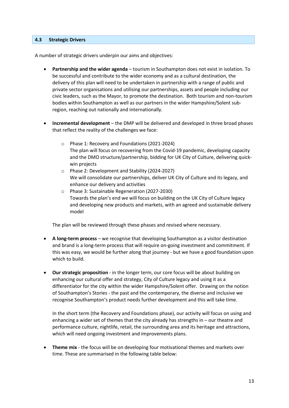#### <span id="page-13-0"></span>**4.3 Strategic Drivers**

A number of strategic drivers underpin our aims and objectives:

- **Partnership and the wider agenda** tourism in Southampton does not exist in isolation. To be successful and contribute to the wider economy and as a cultural destination, the delivery of this plan will need to be undertaken in partnership with a range of public and private sector organisations and utilising our partnerships, assets and people including our civic leaders, such as the Mayor, to promote the destination. Both tourism and non-tourism bodies within Southampton as well as our partners in the wider Hampshire/Solent subregion, reaching out nationally and internationally.
- **Incremental development** the DMP will be delivered and developed in three broad phases that reflect the reality of the challenges we face:
	- o Phase 1: Recovery and Foundations (2021-2024) The plan will focus on recovering from the Covid-19 pandemic, developing capacity and the DMO structure/partnership, bidding for UK City of Culture, delivering quickwin projects
	- o Phase 2: Development and Stability (2024-2027) We will consolidate our partnerships, deliver UK City of Culture and its legacy, and enhance our delivery and activities
	- o Phase 3: Sustainable Regeneration (2027-2030) Towards the plan's end we will focus on building on the UK City of Culture legacy and developing new products and markets, with an agreed and sustainable delivery model

The plan will be reviewed through these phases and revised where necessary.

- **A long-term process** we recognise that developing Southampton as a visitor destination and brand is a long-term process that will require on-going investment and commitment. If this was easy, we would be further along that journey - but we have a good foundation upon which to build.
- **Our strategic proposition** in the longer term, our core focus will be about building on enhancing our cultural offer and strategy, City of Culture legacy and using it as a differentiator for the city within the wider Hampshire/Solent offer. Drawing on the notion of Southampton's Stories - the past and the contemporary, the diverse and inclusive we recognise Southampton's product needs further development and this will take time.

In the short term (the Recovery and Foundations phase), our activity will focus on using and enhancing a wider set of themes that the city already has strengths in – our theatre and performance culture, nightlife, retail, the surrounding area and its heritage and attractions, which will need ongoing investment and improvements plans.

• **Theme mix** - the focus will be on developing four motivational themes and markets over time. These are summarised in the following table below: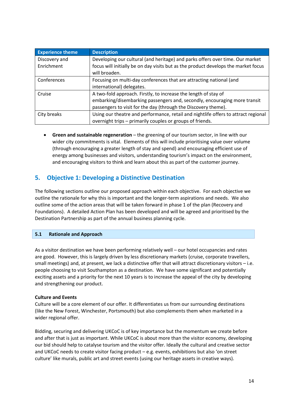| <b>Experience theme</b> | <b>Description</b>                                                                 |
|-------------------------|------------------------------------------------------------------------------------|
| Discovery and           | Developing our cultural (and heritage) and parks offers over time. Our market      |
| Enrichment              | focus will initially be on day visits but as the product develops the market focus |
|                         | will broaden.                                                                      |
| Conferences             | Focusing on multi-day conferences that are attracting national (and                |
|                         | international) delegates.                                                          |
| Cruise                  | A two-fold approach. Firstly, to increase the length of stay of                    |
|                         | embarking/disembarking passengers and, secondly, encouraging more transit          |
|                         | passengers to visit for the day (through the Discovery theme).                     |
| City breaks             | Using our theatre and performance, retail and nightlife offers to attract regional |
|                         | overnight trips - primarily couples or groups of friends.                          |

• **Green and sustainable regeneration** – the greening of our tourism sector, in line with our wider city commitments is vital. Elements of this will include prioritising value over volume (through encouraging a greater length of stay and spend) and encouraging efficient use of energy among businesses and visitors, understanding tourism's impact on the environment, and encouraging visitors to think and learn about this as part of the customer journey.

# <span id="page-14-0"></span>**5. Objective 1: Developing a Distinctive Destination**

The following sections outline our proposed approach within each objective. For each objective we outline the rationale for why this is important and the longer-term aspirations and needs. We also outline some of the action areas that will be taken forward in phase 1 of the plan (Recovery and Foundations). A detailed Action Plan has been developed and will be agreed and prioritised by the Destination Partnership as part of the annual business planning cycle.

### <span id="page-14-1"></span>**5.1 Rationale and Approach**

As a visitor destination we have been performing relatively well – our hotel occupancies and rates are good. However, this is largely driven by less discretionary markets (cruise, corporate travellers, small meetings) and, at present, we lack a distinctive offer that will attract discretionary visitors – i.e. people choosing to visit Southampton as a destination. We have some significant and potentially exciting assets and a priority for the next 10 years is to increase the appeal of the city by developing and strengthening our product.

### **Culture and Events**

Culture will be a core element of our offer. It differentiates us from our surrounding destinations (like the New Forest, Winchester, Portsmouth) but also complements them when marketed in a wider regional offer.

Bidding, securing and delivering UKCoC is of key importance but the momentum we create before and after that is just as important. While UKCoC is about more than the visitor economy, developing our bid should help to catalyse tourism and the visitor offer. Ideally the cultural and creative sector and UKCoC needs to create visitor facing product – e.g. events, exhibitions but also 'on street culture' like murals, public art and street events (using our heritage assets in creative ways).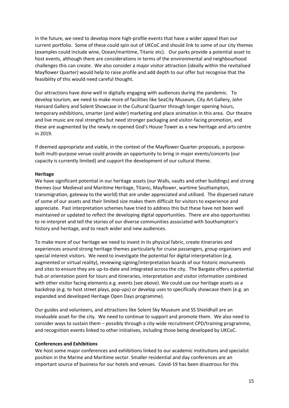In the future, we need to develop more high-profile events that have a wider appeal than our current portfolio. Some of these could spin out of UKCoC and should link to some of our city themes (examples could include wine, Ocean/maritime, Titanic etc). Our parks provide a potential asset to host events, although there are considerations in terms of the environmental and neighbourhood challenges this can create. We also consider a major visitor attraction (ideally within the revitalised Mayflower Quarter) would help to raise profile and add depth to our offer but recognise that the feasibility of this would need careful thought.

Our attractions have done well in digitally engaging with audiences during the pandemic. To develop tourism, we need to make more of facilities like SeaCity Museum, City Art Gallery, John Hansard Gallery and Solent Showcase in the Cultural Quarter through longer opening hours, temporary exhibitions, smarter (and wider) marketing and place animation in this area. Our theatre and live music are real strengths but need stronger packaging and visitor-facing promotion, and these are augmented by the newly re-opened God's House Tower as a new heritage and arts centre in 2019.

If deemed appropriate and viable, in the context of the Mayflower Quarter proposals, a purposebuilt multi-purpose venue could provide an opportunity to bring in major events/concerts (our capacity is currently limited) and support the development of our cultural theme.

### **Heritage**

We have significant potential in our heritage assets (our Walls, vaults and other buildings) and strong themes (our Medieval and Maritime Heritage, Titanic, Mayflower, wartime Southampton, transmigration, gateway to the world) that are under appreciated and utilised. The dispersed nature of some of our assets and their limited size makes them difficult for visitors to experience and appreciate. Past interpretation schemes have tried to address this but these have not been well maintained or updated to reflect the developing digital opportunities. There are also opportunities to re-interpret and tell the stories of our diverse communities associated with Southampton's history and heritage, and to reach wider and new audiences.

To make more of our heritage we need to invest in its physical fabric, create itineraries and experiences around strong heritage themes particularly for cruise passengers, group organisers and special interest visitors. We need to investigate the potential for digital interpretation (e.g. augmented or virtual reality), reviewing signing/interpretation boards of our historic monuments and sites to ensure they are up-to-date and integrated across the city. The Bargate offers a potential hub or orientation point for tours and itineraries, interpretation and visitor information combined with other visitor facing elements e.g. events (see above). We could use our heritage assets as a backdrop (e.g. to host street plays, pop-ups) or develop uses to specifically showcase them (e.g. an expanded and developed Heritage Open Days programme).

Our guides and volunteers, and attractions like Solent Sky Museum and SS Shieldhall are an invaluable asset for the city. We need to continue to support and promote them. We also need to consider ways to sustain them – possibly through a city-wide recruitment CPD/training programme, and recognition events linked to other initiatives, including those being developed by UKCoC.

#### **Conferences and Exhibitions**

We host some major conferences and exhibitions linked to our academic institutions and specialist position in the Marine and Maritime sector. Smaller residential and day conferences are an important source of business for our hotels and venues. Covid-19 has been disastrous for this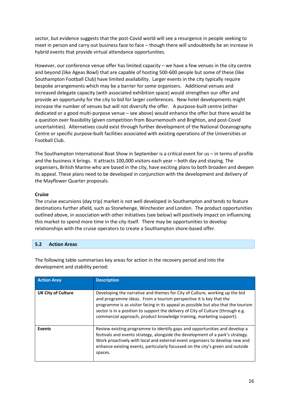sector, but evidence suggests that the post-Covid world will see a resurgence in people seeking to meet in person and carry out business face to face – though there will undoubtedly be an increase in hybrid events that provide virtual attendance opportunities.

However, our conference venue offer has limited capacity – we have a few venues in the city centre and beyond (like Ageas Bowl) that are capable of hosting 500-600 people but some of these (like Southampton Football Club) have limited availability. Larger events in the city typically require bespoke arrangements which may be a barrier for some organisers. Additional venues and increased delegate capacity (with associated exhibition space) would strengthen our offer and provide an opportunity for the city to bid for larger conferences. New hotel developments might increase the number of venues but will not diversify the offer. A purpose-built centre (either dedicated or a good multi-purpose venue – see above) would enhance the offer but there would be a question over feasibility (given competition from Bournemouth and Brighton, and post-Covid uncertainties). Alternatives could exist through further development of the National Oceanography Centre or specific purpose-built facilities associated with existing operations of the Universities or Football Club.

The Southampton International Boat Show in September is a critical event for us – in terms of profile and the business it brings. It attracts 100,000 visitors each year – both day and staying. The organisers, British Marine who are based in the city, have exciting plans to both broaden and deepen its appeal. These plans need to be developed in conjunction with the development and delivery of the Mayflower Quarter proposals.

### **Cruise**

The cruise excursions (day trip) market is not well developed in Southampton and tends to feature destinations further afield, such as Stonehenge, Winchester and London. The product opportunities outlined above, in association with other initiatives (see below) will positively impact on influencing this market to spend more time in the city itself. There may be opportunities to develop relationships with the cruise operators to create a Southampton shore-based offer.

### <span id="page-16-0"></span>**5.2 Action Areas**

| <b>Action Area</b>        | <b>Description</b>                                                                                                                                                                                                                                                                                                                                                                                  |
|---------------------------|-----------------------------------------------------------------------------------------------------------------------------------------------------------------------------------------------------------------------------------------------------------------------------------------------------------------------------------------------------------------------------------------------------|
| <b>UK City of Culture</b> | Developing the narrative and themes for City of Culture, working up the bid<br>and programme ideas. From a tourism perspective it is key that the<br>programme is as visitor facing in its appeal as possible but also that the tourism<br>sector is in a position to support the delivery of City of Culture (through e.g.<br>commercial approach, product knowledge training, marketing support). |
| <b>Events</b>             | Review existing programme to identify gaps and opportunities and develop a<br>festivals and events strategy, alongside the development of a park's strategy.<br>Work proactively with local and external event organisers to develop new and<br>enhance existing events, particularly focussed on the city's green and outside<br>spaces.                                                           |

The following table summarises key areas for action in the recovery period and into the development and stability period: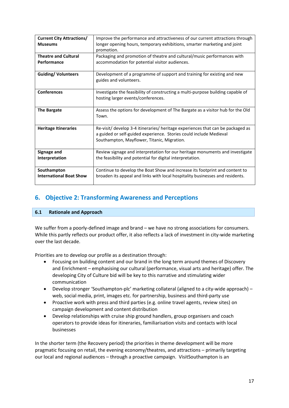| <b>Current City Attractions/</b> | Improve the performance and attractiveness of our current attractions through   |
|----------------------------------|---------------------------------------------------------------------------------|
| <b>Museums</b>                   | longer opening hours, temporary exhibitions, smarter marketing and joint        |
|                                  | promotion.                                                                      |
| <b>Theatre and Cultural</b>      | Packaging and promotion of theatre and cultural/music performances with         |
| Performance                      | accommodation for potential visitor audiences.                                  |
|                                  |                                                                                 |
| <b>Guiding/ Volunteers</b>       | Development of a programme of support and training for existing and new         |
|                                  | guides and volunteers.                                                          |
|                                  |                                                                                 |
| <b>Conferences</b>               | Investigate the feasibility of constructing a multi-purpose building capable of |
|                                  | hosting larger events/conferences.                                              |
|                                  |                                                                                 |
| <b>The Bargate</b>               | Assess the options for development of The Bargate as a visitor hub for the Old  |
|                                  | Town.                                                                           |
|                                  |                                                                                 |
| <b>Heritage Itineraries</b>      | Re-visit/ develop 3-4 itineraries/ heritage experiences that can be packaged as |
|                                  | a guided or self-guided experience. Stories could include Medieval              |
|                                  | Southampton, Mayflower, Titanic, Migration.                                     |
|                                  |                                                                                 |
| Signage and                      | Review signage and interpretation for our heritage monuments and investigate    |
| Interpretation                   | the feasibility and potential for digital interpretation.                       |
|                                  |                                                                                 |
| Southampton                      | Continue to develop the Boat Show and increase its footprint and content to     |
| <b>International Boat Show</b>   | broaden its appeal and links with local hospitality businesses and residents.   |
|                                  |                                                                                 |

# <span id="page-17-0"></span>**6. Objective 2: Transforming Awareness and Perceptions**

### <span id="page-17-1"></span>**6.1 Rationale and Approach**

We suffer from a poorly-defined image and brand – we have no strong associations for consumers. While this partly reflects our product offer, it also reflects a lack of investment in city-wide marketing over the last decade.

Priorities are to develop our profile as a destination through:

- Focusing on building content and our brand in the long term around themes of Discovery and Enrichment – emphasising our cultural (performance, visual arts and heritage) offer. The developing City of Culture bid will be key to this narrative and stimulating wider communication
- Develop stronger 'Southampton-plc' marketing collateral (aligned to a city-wide approach) web, social media, print, images etc. for partnership, business and third-party use
- Proactive work with press and third parties (e.g. online travel agents, review sites) on campaign development and content distribution
- Develop relationships with cruise ship ground handlers, group organisers and coach operators to provide ideas for itineraries, familiarisation visits and contacts with local businesses

In the shorter term (the Recovery period) the priorities in theme development will be more pragmatic focusing on retail, the evening economy/theatres, and attractions – primarily targeting our local and regional audiences – through a proactive campaign. VisitSouthampton is an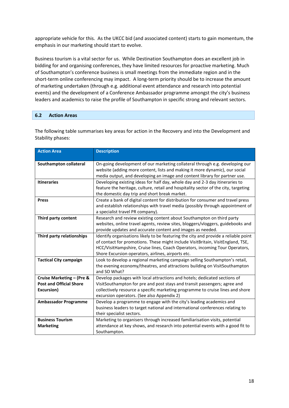appropriate vehicle for this. As the UKCC bid (and associated content) starts to gain momentum, the emphasis in our marketing should start to evolve.

Business tourism is a vital sector for us. While Destination Southampton does an excellent job in bidding for and organising conferences, they have limited resources for proactive marketing. Much of Southampton's conference business is small meetings from the immediate region and in the short-term online conferencing may impact. A long-term priority should be to increase the amount of marketing undertaken (through e.g. additional event attendance and research into potential events) and the development of a Conference Ambassador programme amongst the city's business leaders and academics to raise the profile of Southampton in specific strong and relevant sectors.

### <span id="page-18-0"></span>**6.2 Action Areas**

The following table summarises key areas for action in the Recovery and into the Development and Stability phases:

| <b>Action Area</b>             | <b>Description</b>                                                                  |
|--------------------------------|-------------------------------------------------------------------------------------|
|                                |                                                                                     |
| Southampton collateral         | On-going development of our marketing collateral through e.g. developing our        |
|                                | website (adding more content, lists and making it more dynamic), our social         |
|                                | media output, and developing an image and content library for partner use.          |
| <b>Itineraries</b>             | Developing existing ideas for half day, whole day and 2-3 day itineraries to        |
|                                | feature the heritage, culture, retail and hospitality sector of the city, targeting |
|                                | the domestic day trip and short break market.                                       |
| <b>Press</b>                   | Create a bank of digital content for distribution for consumer and travel press     |
|                                | and establish relationships with travel media (possibly through appointment of      |
|                                | a specialist travel PR company).                                                    |
| Third party content            | Research and review existing content about Southampton on third party               |
|                                | websites, online travel agents, review sites, bloggers/vloggers, guidebooks and     |
|                                | provide updates and accurate content and images as needed.                          |
| Third party relationships      | Identify organisations likely to be featuring the city and provide a reliable point |
|                                | of contact for promotions. These might include VisitBritain, VisitEngland, TSE,     |
|                                | HCC/VisitHampshire, Cruise lines, Coach Operators, incoming Tour Operators,         |
|                                | Shore Excursion operators, airlines, airports etc.                                  |
| <b>Tactical City campaign</b>  | Look to develop a regional marketing campaign selling Southampton's retail,         |
|                                | the evening economy/theatres, and attractions building on VisitSouthampton          |
|                                | and SO What?                                                                        |
| Cruise Marketing - (Pre &      | Develop packages with local attractions and hotels; dedicated sections of           |
| <b>Post and Official Shore</b> | VisitSouthampton for pre and post stays and transit passengers; agree and           |
| Excursion)                     | collectively resource a specific marketing programme to cruise lines and shore      |
|                                | excursion operators. (See also Appendix 2)                                          |
| <b>Ambassador Programme</b>    | Develop a programme to engage with the city's leading academics and                 |
|                                | business leaders to target national and international conferences relating to       |
|                                | their specialist sectors.                                                           |
| <b>Business Tourism</b>        | Marketing to organisers through increased familiarisation visits, potential         |
| <b>Marketing</b>               | attendance at key shows, and research into potential events with a good fit to      |
|                                | Southampton.                                                                        |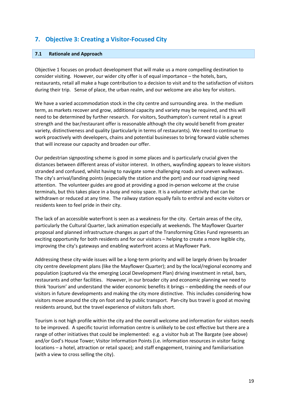# <span id="page-19-0"></span>**7. Objective 3: Creating a Visitor-Focused City**

### <span id="page-19-1"></span>**7.1 Rationale and Approach**

Objective 1 focuses on product development that will make us a more compelling destination to consider visiting. However, our wider city offer is of equal importance – the hotels, bars, restaurants, retail all make a huge contribution to a decision to visit and to the satisfaction of visitors during their trip. Sense of place, the urban realm, and our welcome are also key for visitors.

We have a varied accommodation stock in the city centre and surrounding area. In the medium term, as markets recover and grow, additional capacity and variety may be required, and this will need to be determined by further research. For visitors, Southampton's current retail is a great strength and the bar/restaurant offer is reasonable although the city would benefit from greater variety, distinctiveness and quality (particularly in terms of restaurants). We need to continue to work proactively with developers, chains and potential businesses to bring forward viable schemes that will increase our capacity and broaden our offer.

Our pedestrian signposting scheme is good in some places and is particularly crucial given the distances between different areas of visitor interest. In others, wayfinding appears to leave visitors stranded and confused, whilst having to navigate some challenging roads and uneven walkways. The city's arrival/landing points (especially the station and the port) and our road signing need attention. The volunteer guides are good at providing a good in-person welcome at the cruise terminals, but this takes place in a busy and noisy space. It is a volunteer activity that can be withdrawn or reduced at any time. The railway station equally fails to enthral and excite visitors or residents keen to feel pride in their city.

The lack of an accessible waterfront is seen as a weakness for the city. Certain areas of the city, particularly the Cultural Quarter, lack animation especially at weekends. The Mayflower Quarter proposal and planned infrastructure changes as part of the Transforming Cities Fund represents an exciting opportunity for both residents and for our visitors – helping to create a more legible city, improving the city's gateways and enabling waterfront access at Mayflower Park.

Addressing these city-wide issues will be a long-term priority and will be largely driven by broader city centre development plans (like the Mayflower Quarter); and by the local/regional economy and population (captured via the emerging Local Development Plan) driving investment in retail, bars, restaurants and other facilities. However, in our broader city and economic planning we need to think 'tourism' and understand the wider economic benefits it brings – embedding the needs of our visitors in future developments and making the city more distinctive. This includes considering how visitors move around the city on foot and by public transport. Pan-city bus travel is good at moving residents around, but the travel experience of visitors falls short.

Tourism is not high profile within the city and the overall welcome and information for visitors needs to be improved. A specific tourist information centre is unlikely to be cost effective but there are a range of other initiatives that could be implemented: e.g. a visitor hub at The Bargate (see above) and/or God's House Tower; Visitor Information Points (i.e. information resources in visitor facing locations – a hotel, attraction or retail space); and staff engagement, training and familiarisation (with a view to cross selling the city).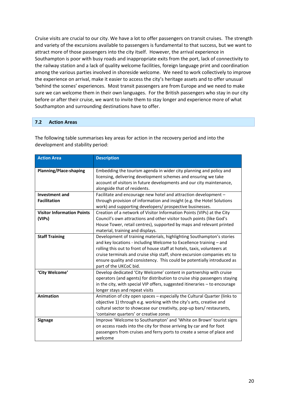Cruise visits are crucial to our city. We have a lot to offer passengers on transit cruises. The strength and variety of the excursions available to passengers is fundamental to that success, but we want to attract more of those passengers into the city itself. However, the arrival experience in Southampton is poor with busy roads and inappropriate exits from the port, lack of connectivity to the railway station and a lack of quality welcome facilities, foreign language print and coordination among the various parties involved in shoreside welcome. We need to work collectively to improve the experience on arrival, make it easier to access the city's heritage assets and to offer unusual 'behind the scenes' experiences. Most transit passengers are from Europe and we need to make sure we can welcome them in their own languages. For the British passengers who stay in our city before or after their cruise, we want to invite them to stay longer and experience more of what Southampton and surrounding destinations have to offer.

### <span id="page-20-0"></span>**7.2 Action Areas**

The following table summarises key areas for action in the recovery period and into the development and stability period:

| <b>Action Area</b>                | <b>Description</b>                                                           |
|-----------------------------------|------------------------------------------------------------------------------|
|                                   |                                                                              |
| <b>Planning/Place-shaping</b>     | Embedding the tourism agenda in wider city planning and policy and           |
|                                   | licensing, delivering development schemes and ensuring we take               |
|                                   | account of visitors in future developments and our city maintenance,         |
|                                   | alongside that of residents.                                                 |
| <b>Investment and</b>             | Facilitate and encourage new hotel and attraction development -              |
| <b>Facilitation</b>               | through provision of information and insight (e.g. the Hotel Solutions       |
|                                   | work) and supporting developers/ prospective businesses.                     |
| <b>Visitor Information Points</b> | Creation of a network of Visitor Information Points (VIPs) at the City       |
| (VIPs)                            | Council's own attractions and other visitor touch points (like God's         |
|                                   | House Tower, retail centres), supported by maps and relevant printed         |
|                                   | material, training and displays.                                             |
| <b>Staff Training</b>             | Development of training materials, highlighting Southampton's stories        |
|                                   | and key locations - including Welcome to Excellence training - and           |
|                                   | rolling this out to front of house staff at hotels, taxis, volunteers at     |
|                                   | cruise terminals and cruise ship staff, shore excursion companies etc to     |
|                                   | ensure quality and consistency. This could be potentially introduced as      |
|                                   | part of the UKCoC bid.                                                       |
| 'City Welcome'                    | Develop dedicated 'City Welcome' content in partnership with cruise          |
|                                   | operators (and agents) for distribution to cruise ship passengers staying    |
|                                   | in the city, with special VIP offers, suggested itineraries $-$ to encourage |
|                                   | longer stays and repeat visits                                               |
| <b>Animation</b>                  | Animation of city open spaces - especially the Cultural Quarter (links to    |
|                                   | objective 1) through e.g. working with the city's arts, creative and         |
|                                   | cultural sector to showcase our creativity, pop-up bars/ restaurants,        |
|                                   | 'container quarters' or creative zones                                       |
| <b>Signage</b>                    | Improve 'Welcome to Southampton' and 'White on Brown' tourist signs          |
|                                   | on access roads into the city for those arriving by car and for foot         |
|                                   | passengers from cruises and ferry ports to create a sense of place and       |
|                                   | welcome                                                                      |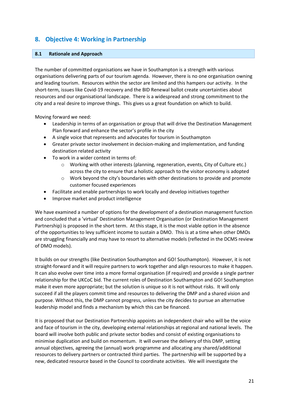# <span id="page-21-0"></span>**8. Objective 4: Working in Partnership**

### <span id="page-21-1"></span>**8.1 Rationale and Approach**

The number of committed organisations we have in Southampton is a strength with various organisations delivering parts of our tourism agenda. However, there is no one organisation owning and leading tourism. Resources within the sector are limited and this hampers our activity. In the short-term, issues like Covid-19 recovery and the BID Renewal ballot create uncertainties about resources and our organisational landscape. There is a widespread and strong commitment to the city and a real desire to improve things. This gives us a great foundation on which to build.

Moving forward we need:

- Leadership in terms of an organisation or group that will drive the Destination Management Plan forward and enhance the sector's profile in the city
- A single voice that represents and advocates for tourism in Southampton
- Greater private sector involvement in decision-making and implementation, and funding destination related activity
- To work in a wider context in terms of:
	- o Working with other interests (planning, regeneration, events, City of Culture etc.) across the city to ensure that a holistic approach to the visitor economy is adopted
	- o Work beyond the city's boundaries with other destinations to provide and promote customer focused experiences
- Facilitate and enable partnerships to work locally and develop initiatives together
- Improve market and product intelligence

We have examined a number of options for the development of a destination management function and concluded that a 'virtual' Destination Management Organisation (or Destination Management Partnership) is proposed in the short term. At this stage, it is the most viable option in the absence of the opportunities to levy sufficient income to sustain a DMO. This is at a time when other DMOs are struggling financially and may have to resort to alternative models (reflected in the DCMS review of DMO models).

It builds on our strengths (like Destination Southampton and GO! Southampton). However, it is not straight-forward and it will require partners to work together and align resources to make it happen. It can also evolve over time into a more formal organisation (if required) and provide a single partner relationship for the UKCoC bid. The current roles of Destination Southampton and GO! Southampton make it even more appropriate; but the solution is unique so it is not without risks. It will only succeed if all the players commit time and resources to delivering the DMP and a shared vision and purpose. Without this, the DMP cannot progress, unless the city decides to pursue an alternative leadership model and finds a mechanism by which this can be financed.

It is proposed that our Destination Partnership appoints an independent chair who will be the voice and face of tourism in the city, developing external relationships at regional and national levels. The board will involve both public and private sector bodies and consist of existing organisations to minimise duplication and build on momentum. It will oversee the delivery of this DMP, setting annual objectives, agreeing the (annual) work programme and allocating any shared/additional resources to delivery partners or contracted third parties. The partnership will be supported by a new, dedicated resource based in the Council to coordinate activities. We will investigate the